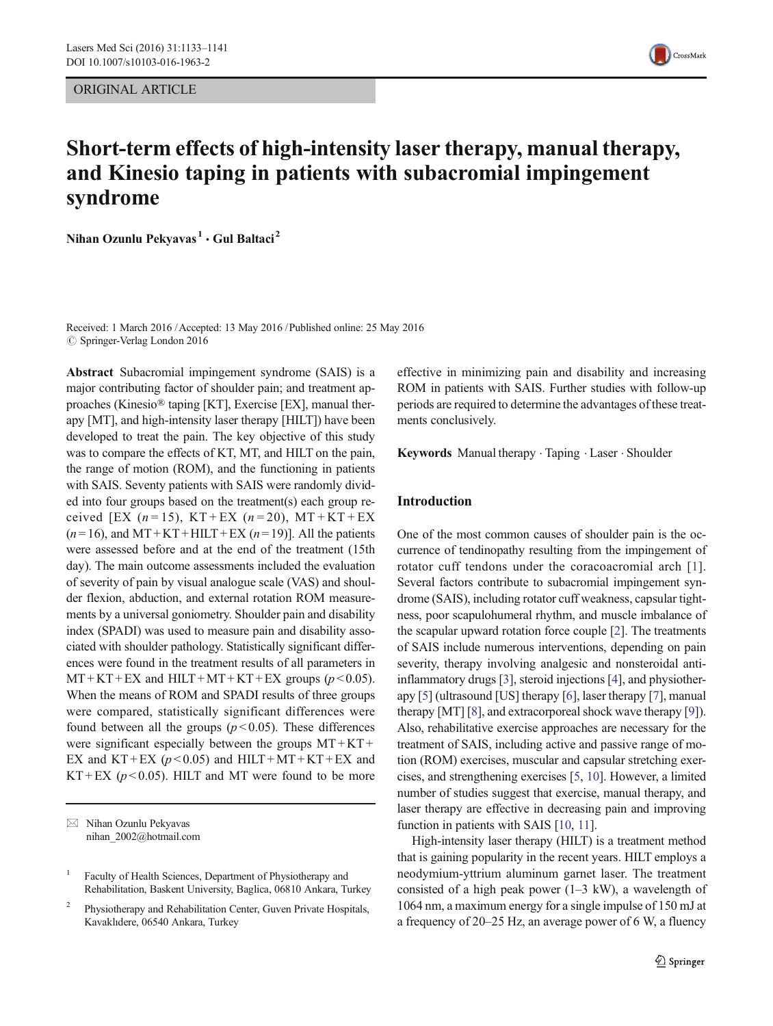ORIGINAL ARTICLE



# Short-term effects of high-intensity laser therapy, manual therapy, and Kinesio taping in patients with subacromial impingement syndrome

Nihan Ozunlu Pekyavas<sup>1</sup>  $\cdot$  Gul Baltaci<sup>2</sup>

Received: 1 March 2016 /Accepted: 13 May 2016 /Published online: 25 May 2016  $\oslash$  Springer-Verlag London 2016

Abstract Subacromial impingement syndrome (SAIS) is a major contributing factor of shoulder pain; and treatment approaches (Kinesio® taping [KT], Exercise [EX], manual therapy [MT], and high-intensity laser therapy [HILT]) have been developed to treat the pain. The key objective of this study was to compare the effects of KT, MT, and HILT on the pain, the range of motion (ROM), and the functioning in patients with SAIS. Seventy patients with SAIS were randomly divided into four groups based on the treatment(s) each group received [EX  $(n=15)$ , KT + EX  $(n=20)$ , MT + KT + EX  $(n=16)$ , and MT+KT+HILT+EX  $(n=19)$ ]. All the patients were assessed before and at the end of the treatment (15th day). The main outcome assessments included the evaluation of severity of pain by visual analogue scale (VAS) and shoulder flexion, abduction, and external rotation ROM measurements by a universal goniometry. Shoulder pain and disability index (SPADI) was used to measure pain and disability associated with shoulder pathology. Statistically significant differences were found in the treatment results of all parameters in  $MT+KT+EX$  and  $HILT+MT+KT+EX$  groups ( $p < 0.05$ ). When the means of ROM and SPADI results of three groups were compared, statistically significant differences were found between all the groups ( $p < 0.05$ ). These differences were significant especially between the groups  $MT+KT+$ EX and  $KT + EX$  ( $p < 0.05$ ) and  $HILT + MT + KT + EX$  and KT+EX ( $p$ <0.05). HILT and MT were found to be more

 $\boxtimes$  Nihan Ozunlu Pekyavas nihan\_2002@hotmail.com effective in minimizing pain and disability and increasing ROM in patients with SAIS. Further studies with follow-up periods are required to determine the advantages of these treatments conclusively.

Keywords Manual therapy . Taping . Laser . Shoulder

# Introduction

One of the most common causes of shoulder pain is the occurrence of tendinopathy resulting from the impingement of rotator cuff tendons under the coracoacromial arch [[1](#page-6-0)]. Several factors contribute to subacromial impingement syndrome (SAIS), including rotator cuff weakness, capsular tightness, poor scapulohumeral rhythm, and muscle imbalance of the scapular upward rotation force couple [\[2](#page-6-0)]. The treatments of SAIS include numerous interventions, depending on pain severity, therapy involving analgesic and nonsteroidal antiinflammatory drugs [[3\]](#page-6-0), steroid injections [\[4](#page-6-0)], and physiotherapy [\[5](#page-7-0)] (ultrasound [US] therapy [\[6](#page-7-0)], laser therapy [\[7](#page-7-0)], manual therapy [MT] [\[8](#page-7-0)], and extracorporeal shock wave therapy [[9\]](#page-7-0)). Also, rehabilitative exercise approaches are necessary for the treatment of SAIS, including active and passive range of motion (ROM) exercises, muscular and capsular stretching exercises, and strengthening exercises [\[5](#page-7-0), [10\]](#page-7-0). However, a limited number of studies suggest that exercise, manual therapy, and laser therapy are effective in decreasing pain and improving function in patients with SAIS [\[10](#page-7-0), [11\]](#page-7-0).

High-intensity laser therapy (HILT) is a treatment method that is gaining popularity in the recent years. HILT employs a neodymium-yttrium aluminum garnet laser. The treatment consisted of a high peak power  $(1-3 \text{ kW})$ , a wavelength of 1064 nm, a maximum energy for a single impulse of 150 mJ at a frequency of 20–25 Hz, an average power of 6 W, a fluency

<sup>&</sup>lt;sup>1</sup> Faculty of Health Sciences, Department of Physiotherapy and Rehabilitation, Baskent University, Baglica, 06810 Ankara, Turkey

<sup>&</sup>lt;sup>2</sup> Physiotherapy and Rehabilitation Center, Guven Private Hospitals, Kavaklıdere, 06540 Ankara, Turkey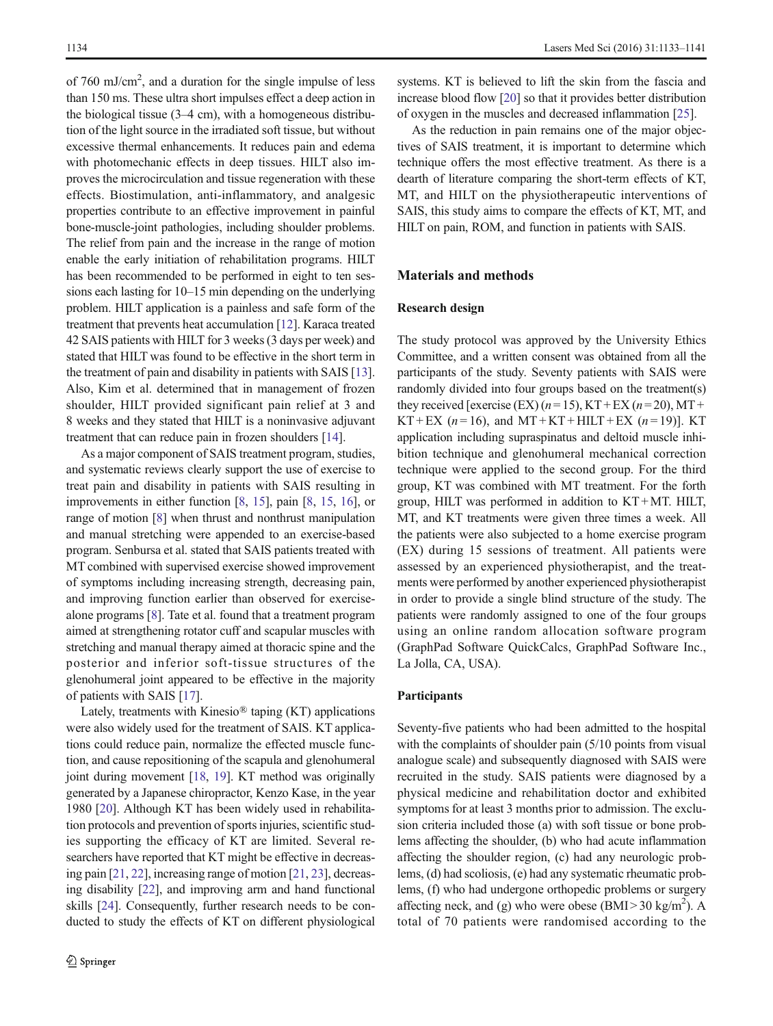of 760 mJ/cm<sup>2</sup>, and a duration for the single impulse of less than 150 ms. These ultra short impulses effect a deep action in the biological tissue (3–4 cm), with a homogeneous distribution of the light source in the irradiated soft tissue, but without excessive thermal enhancements. It reduces pain and edema with photomechanic effects in deep tissues. HILT also improves the microcirculation and tissue regeneration with these effects. Biostimulation, anti-inflammatory, and analgesic properties contribute to an effective improvement in painful bone-muscle-joint pathologies, including shoulder problems. The relief from pain and the increase in the range of motion enable the early initiation of rehabilitation programs. HILT has been recommended to be performed in eight to ten sessions each lasting for 10–15 min depending on the underlying problem. HILT application is a painless and safe form of the treatment that prevents heat accumulation [\[12\]](#page-7-0). Karaca treated 42 SAIS patients with HILT for 3 weeks (3 days per week) and stated that HILT was found to be effective in the short term in the treatment of pain and disability in patients with SAIS [[13\]](#page-7-0). Also, Kim et al. determined that in management of frozen shoulder, HILT provided significant pain relief at 3 and 8 weeks and they stated that HILT is a noninvasive adjuvant treatment that can reduce pain in frozen shoulders [\[14\]](#page-7-0).

As a major component of SAIS treatment program, studies, and systematic reviews clearly support the use of exercise to treat pain and disability in patients with SAIS resulting in improvements in either function [\[8,](#page-7-0) [15](#page-7-0)], pain [\[8](#page-7-0), [15,](#page-7-0) [16](#page-7-0)], or range of motion [[8](#page-7-0)] when thrust and nonthrust manipulation and manual stretching were appended to an exercise-based program. Senbursa et al. stated that SAIS patients treated with MT combined with supervised exercise showed improvement of symptoms including increasing strength, decreasing pain, and improving function earlier than observed for exercisealone programs [\[8](#page-7-0)]. Tate et al. found that a treatment program aimed at strengthening rotator cuff and scapular muscles with stretching and manual therapy aimed at thoracic spine and the posterior and inferior soft-tissue structures of the glenohumeral joint appeared to be effective in the majority of patients with SAIS [\[17\]](#page-7-0).

Lately, treatments with Kinesio<sup>®</sup> taping  $(KT)$  applications were also widely used for the treatment of SAIS. KT applications could reduce pain, normalize the effected muscle function, and cause repositioning of the scapula and glenohumeral joint during movement [[18,](#page-7-0) [19](#page-7-0)]. KT method was originally generated by a Japanese chiropractor, Kenzo Kase, in the year 1980 [[20\]](#page-7-0). Although KT has been widely used in rehabilitation protocols and prevention of sports injuries, scientific studies supporting the efficacy of KT are limited. Several researchers have reported that KT might be effective in decreasing pain [\[21,](#page-7-0) [22\]](#page-7-0), increasing range of motion [[21,](#page-7-0) [23\]](#page-7-0), decreasing disability [[22\]](#page-7-0), and improving arm and hand functional skills [\[24\]](#page-7-0). Consequently, further research needs to be conducted to study the effects of KT on different physiological systems. KT is believed to lift the skin from the fascia and increase blood flow [\[20\]](#page-7-0) so that it provides better distribution of oxygen in the muscles and decreased inflammation [[25\]](#page-7-0).

As the reduction in pain remains one of the major objectives of SAIS treatment, it is important to determine which technique offers the most effective treatment. As there is a dearth of literature comparing the short-term effects of KT, MT, and HILT on the physiotherapeutic interventions of SAIS, this study aims to compare the effects of KT, MT, and HILT on pain, ROM, and function in patients with SAIS.

## Materials and methods

#### Research design

The study protocol was approved by the University Ethics Committee, and a written consent was obtained from all the participants of the study. Seventy patients with SAIS were randomly divided into four groups based on the treatment(s) they received [exercise (EX)  $(n=15)$ , KT + EX  $(n=20)$ , MT + KT + EX ( $n = 16$ ), and MT + KT + HILT + EX ( $n = 19$ )]. KT application including supraspinatus and deltoid muscle inhibition technique and glenohumeral mechanical correction technique were applied to the second group. For the third group, KT was combined with MT treatment. For the forth group, HILT was performed in addition to  $KT+MT$ . HILT, MT, and KT treatments were given three times a week. All the patients were also subjected to a home exercise program (EX) during 15 sessions of treatment. All patients were assessed by an experienced physiotherapist, and the treatments were performed by another experienced physiotherapist in order to provide a single blind structure of the study. The patients were randomly assigned to one of the four groups using an online random allocation software program (GraphPad Software QuickCalcs, GraphPad Software Inc., La Jolla, CA, USA).

#### Participants

Seventy-five patients who had been admitted to the hospital with the complaints of shoulder pain (5/10 points from visual analogue scale) and subsequently diagnosed with SAIS were recruited in the study. SAIS patients were diagnosed by a physical medicine and rehabilitation doctor and exhibited symptoms for at least 3 months prior to admission. The exclusion criteria included those (a) with soft tissue or bone problems affecting the shoulder, (b) who had acute inflammation affecting the shoulder region, (c) had any neurologic problems, (d) had scoliosis, (e) had any systematic rheumatic problems, (f) who had undergone orthopedic problems or surgery affecting neck, and (g) who were obese (BMI > 30 kg/m<sup>2</sup>). A total of 70 patients were randomised according to the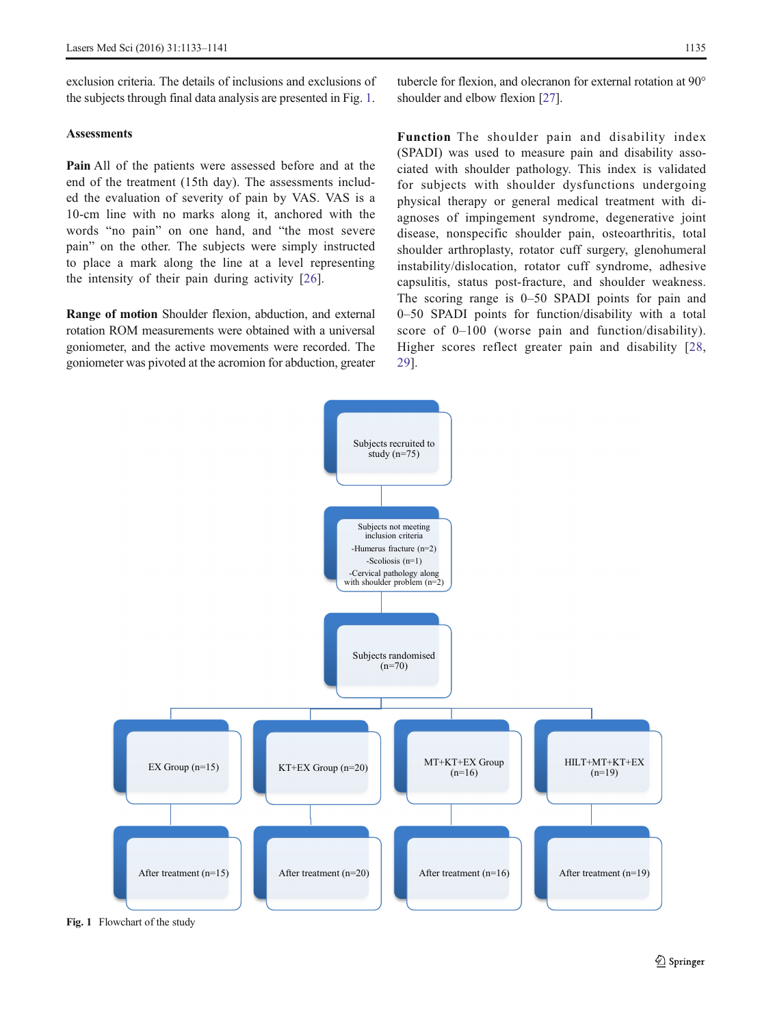<span id="page-2-0"></span>exclusion criteria. The details of inclusions and exclusions of the subjects through final data analysis are presented in Fig. 1.

### **Assessments**

Pain All of the patients were assessed before and at the end of the treatment (15th day). The assessments included the evaluation of severity of pain by VAS. VAS is a 10-cm line with no marks along it, anchored with the words "no pain" on one hand, and "the most severe pain" on the other. The subjects were simply instructed to place a mark along the line at a level representing the intensity of their pain during activity [\[26](#page-7-0)].

Range of motion Shoulder flexion, abduction, and external rotation ROM measurements were obtained with a universal goniometer, and the active movements were recorded. The goniometer was pivoted at the acromion for abduction, greater

tubercle for flexion, and olecranon for external rotation at 90° shoulder and elbow flexion [\[27](#page-7-0)].

Function The shoulder pain and disability index (SPADI) was used to measure pain and disability associated with shoulder pathology. This index is validated for subjects with shoulder dysfunctions undergoing physical therapy or general medical treatment with diagnoses of impingement syndrome, degenerative joint disease, nonspecific shoulder pain, osteoarthritis, total shoulder arthroplasty, rotator cuff surgery, glenohumeral instability/dislocation, rotator cuff syndrome, adhesive capsulitis, status post-fracture, and shoulder weakness. The scoring range is 0–50 SPADI points for pain and 0–50 SPADI points for function/disability with a total score of 0–100 (worse pain and function/disability). Higher scores reflect greater pain and disability [\[28,](#page-7-0) [29](#page-7-0)].



Fig. 1 Flowchart of the study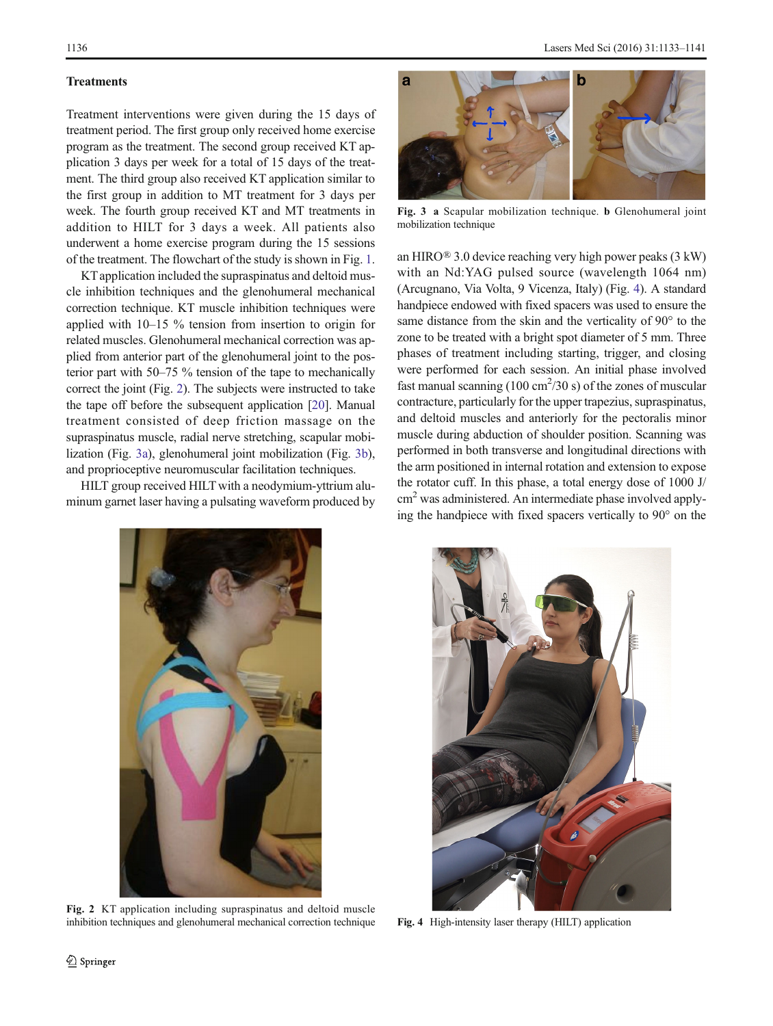#### **Treatments**

Treatment interventions were given during the 15 days of treatment period. The first group only received home exercise program as the treatment. The second group received KT application 3 days per week for a total of 15 days of the treatment. The third group also received KT application similar to the first group in addition to MT treatment for 3 days per week. The fourth group received KT and MT treatments in addition to HILT for 3 days a week. All patients also underwent a home exercise program during the 15 sessions of the treatment. The flowchart of the study is shown in Fig. [1.](#page-2-0)

KT application included the supraspinatus and deltoid muscle inhibition techniques and the glenohumeral mechanical correction technique. KT muscle inhibition techniques were applied with 10–15 % tension from insertion to origin for related muscles. Glenohumeral mechanical correction was applied from anterior part of the glenohumeral joint to the posterior part with 50–75 % tension of the tape to mechanically correct the joint (Fig. 2). The subjects were instructed to take the tape off before the subsequent application [\[20](#page-7-0)]. Manual treatment consisted of deep friction massage on the supraspinatus muscle, radial nerve stretching, scapular mobilization (Fig. 3a), glenohumeral joint mobilization (Fig. 3b), and proprioceptive neuromuscular facilitation techniques.

HILT group received HILT with a neodymium-yttrium aluminum garnet laser having a pulsating waveform produced by



Fig. 3 a Scapular mobilization technique. b Glenohumeral joint mobilization technique

an HIRO® 3.0 device reaching very high power peaks (3 kW) with an Nd:YAG pulsed source (wavelength 1064 nm) (Arcugnano, Via Volta, 9 Vicenza, Italy) (Fig. 4). A standard handpiece endowed with fixed spacers was used to ensure the same distance from the skin and the verticality of 90° to the zone to be treated with a bright spot diameter of 5 mm. Three phases of treatment including starting, trigger, and closing were performed for each session. An initial phase involved fast manual scanning  $(100 \text{ cm}^2/30 \text{ s})$  of the zones of muscular contracture, particularly for the upper trapezius, supraspinatus, and deltoid muscles and anteriorly for the pectoralis minor muscle during abduction of shoulder position. Scanning was performed in both transverse and longitudinal directions with the arm positioned in internal rotation and extension to expose the rotator cuff. In this phase, a total energy dose of 1000 J/ cm<sup>2</sup> was administered. An intermediate phase involved applying the handpiece with fixed spacers vertically to 90° on the



Fig. 2 KT application including supraspinatus and deltoid muscle inhibition techniques and glenohumeral mechanical correction technique



Fig. 4 High-intensity laser therapy (HILT) application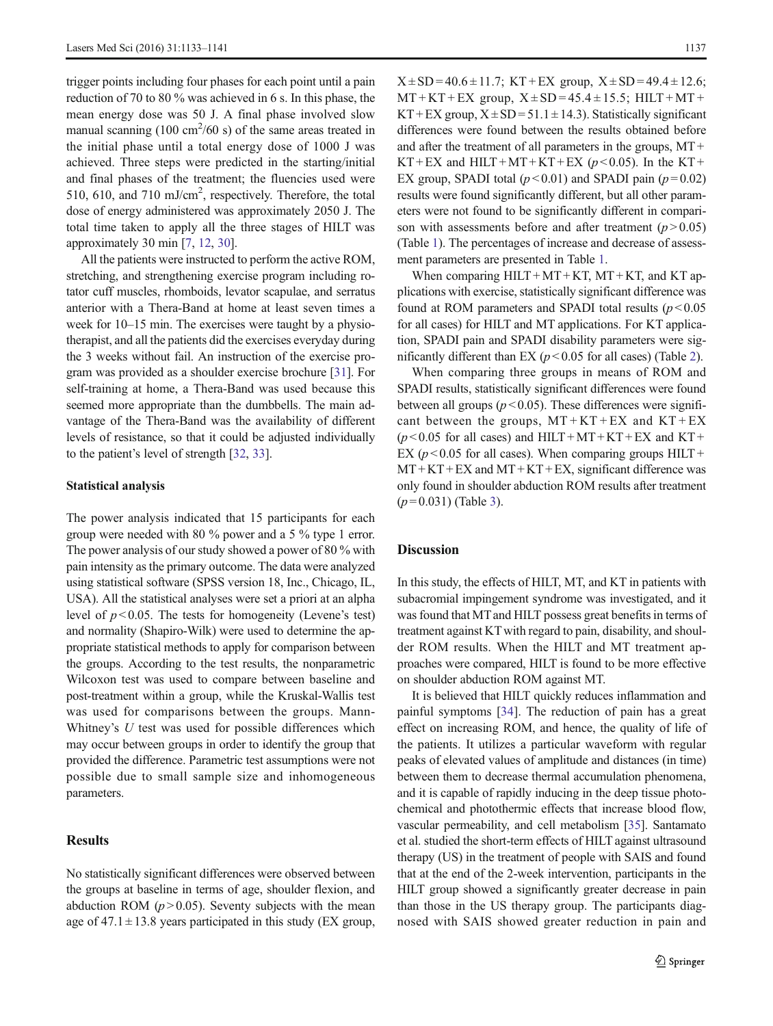trigger points including four phases for each point until a pain reduction of 70 to 80 % was achieved in 6 s. In this phase, the mean energy dose was 50 J. A final phase involved slow manual scanning (100 cm<sup>2</sup>/60 s) of the same areas treated in the initial phase until a total energy dose of 1000 J was achieved. Three steps were predicted in the starting/initial and final phases of the treatment; the fluencies used were 510, 610, and 710 mJ/cm<sup>2</sup>, respectively. Therefore, the total dose of energy administered was approximately 2050 J. The total time taken to apply all the three stages of HILT was approximately 30 min [[7,](#page-7-0) [12,](#page-7-0) [30\]](#page-7-0).

All the patients were instructed to perform the active ROM, stretching, and strengthening exercise program including rotator cuff muscles, rhomboids, levator scapulae, and serratus anterior with a Thera-Band at home at least seven times a week for 10–15 min. The exercises were taught by a physiotherapist, and all the patients did the exercises everyday during the 3 weeks without fail. An instruction of the exercise program was provided as a shoulder exercise brochure [\[31](#page-7-0)]. For self-training at home, a Thera-Band was used because this seemed more appropriate than the dumbbells. The main advantage of the Thera-Band was the availability of different levels of resistance, so that it could be adjusted individually to the patient's level of strength [[32](#page-7-0), [33](#page-7-0)].

#### Statistical analysis

The power analysis indicated that 15 participants for each group were needed with 80 % power and a 5 % type 1 error. The power analysis of our study showed a power of 80 % with pain intensity as the primary outcome. The data were analyzed using statistical software (SPSS version 18, Inc., Chicago, IL, USA). All the statistical analyses were set a priori at an alpha level of  $p < 0.05$ . The tests for homogeneity (Levene's test) and normality (Shapiro-Wilk) were used to determine the appropriate statistical methods to apply for comparison between the groups. According to the test results, the nonparametric Wilcoxon test was used to compare between baseline and post-treatment within a group, while the Kruskal-Wallis test was used for comparisons between the groups. Mann-Whitney's U test was used for possible differences which may occur between groups in order to identify the group that provided the difference. Parametric test assumptions were not possible due to small sample size and inhomogeneous parameters.

## Results

No statistically significant differences were observed between the groups at baseline in terms of age, shoulder flexion, and abduction ROM  $(p > 0.05)$ . Seventy subjects with the mean age of  $47.1 \pm 13.8$  years participated in this study (EX group,  $X \pm SD = 40.6 \pm 11.7$ ;  $KT + EX$  group,  $X \pm SD = 49.4 \pm 12.6$ ;  $MT+KT+EX$  group,  $X \pm SD = 45.4 \pm 15.5$ ; HILT + MT + KT + EX group,  $X \pm SD = 51.1 \pm 14.3$ ). Statistically significant differences were found between the results obtained before and after the treatment of all parameters in the groups, MT + KT + EX and HILT + MT + KT + EX ( $p$  < 0.05). In the KT + EX group, SPADI total ( $p < 0.01$ ) and SPADI pain ( $p = 0.02$ ) results were found significantly different, but all other parameters were not found to be significantly different in comparison with assessments before and after treatment  $(p > 0.05)$ (Table [1\)](#page-5-0). The percentages of increase and decrease of assessment parameters are presented in Table [1](#page-5-0).

When comparing  $HILT + MT + KT$ ,  $MT + KT$ , and  $KT$  applications with exercise, statistically significant difference was found at ROM parameters and SPADI total results  $(p<0.05$ for all cases) for HILT and MT applications. For KT application, SPADI pain and SPADI disability parameters were significantly different than EX ( $p < 0.05$  for all cases) (Table [2\)](#page-5-0).

When comparing three groups in means of ROM and SPADI results, statistically significant differences were found between all groups ( $p < 0.05$ ). These differences were significant between the groups,  $MT + KT + EX$  and  $KT + EX$  $(p<0.05$  for all cases) and HILT + MT + KT + EX and KT + EX ( $p < 0.05$  for all cases). When comparing groups  $HILT +$  $MT+KT+EX$  and  $MT+KT+EX$ , significant difference was only found in shoulder abduction ROM results after treatment  $(p=0.031)$  (Table [3\)](#page-6-0).

#### **Discussion**

In this study, the effects of HILT, MT, and KT in patients with subacromial impingement syndrome was investigated, and it was found that MT and HILT possess great benefits in terms of treatment against KT with regard to pain, disability, and shoulder ROM results. When the HILT and MT treatment approaches were compared, HILT is found to be more effective on shoulder abduction ROM against MT.

It is believed that HILT quickly reduces inflammation and painful symptoms [[34](#page-7-0)]. The reduction of pain has a great effect on increasing ROM, and hence, the quality of life of the patients. It utilizes a particular waveform with regular peaks of elevated values of amplitude and distances (in time) between them to decrease thermal accumulation phenomena, and it is capable of rapidly inducing in the deep tissue photochemical and photothermic effects that increase blood flow, vascular permeability, and cell metabolism [\[35\]](#page-7-0). Santamato et al. studied the short-term effects of HILT against ultrasound therapy (US) in the treatment of people with SAIS and found that at the end of the 2-week intervention, participants in the HILT group showed a significantly greater decrease in pain than those in the US therapy group. The participants diagnosed with SAIS showed greater reduction in pain and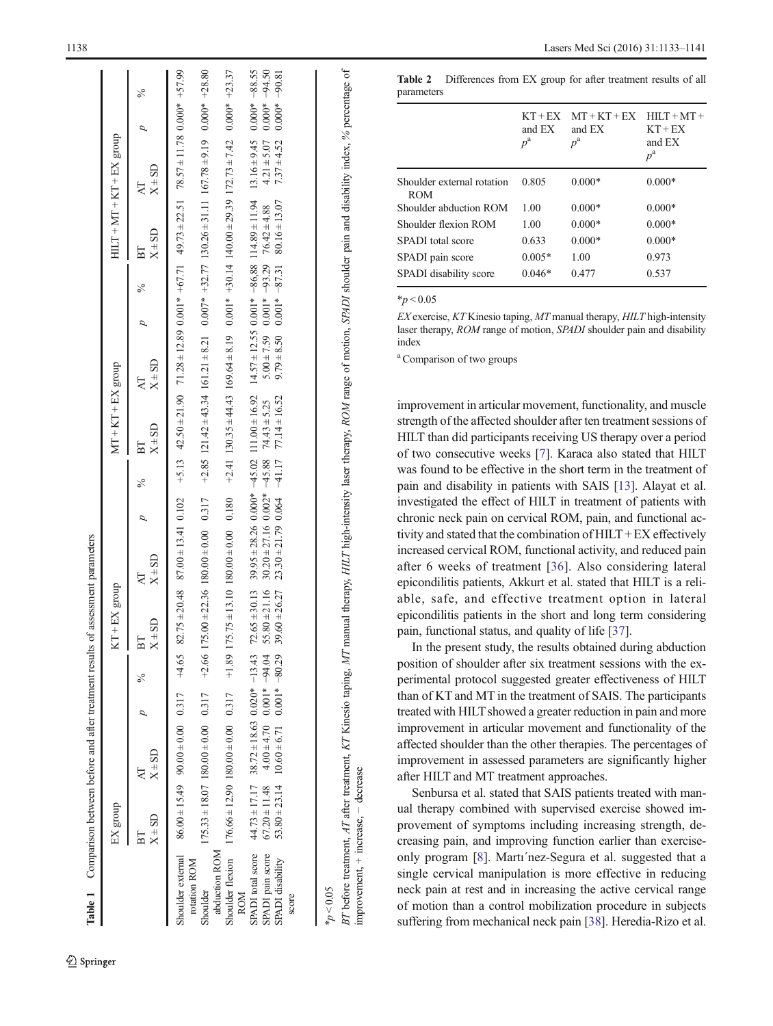<span id="page-5-0"></span>

|                                                                                      | which we have a series of the company of the company of the company of the company of the company of the company of the company of the company of the company of the company of the company of the company of the company of t |                                                                                         |  |                                        |                                                                                                                                                                                                                                                                  |  |                                       |                                    |                 |    |                                                   |                                  |                                         |  |
|--------------------------------------------------------------------------------------|--------------------------------------------------------------------------------------------------------------------------------------------------------------------------------------------------------------------------------|-----------------------------------------------------------------------------------------|--|----------------------------------------|------------------------------------------------------------------------------------------------------------------------------------------------------------------------------------------------------------------------------------------------------------------|--|---------------------------------------|------------------------------------|-----------------|----|---------------------------------------------------|----------------------------------|-----------------------------------------|--|
|                                                                                      | EX group                                                                                                                                                                                                                       |                                                                                         |  | $KT + EX$ group                        |                                                                                                                                                                                                                                                                  |  | $MT + KT + EX$ group                  |                                    |                 |    |                                                   | $HILT + MT + KT + EX$ group      |                                         |  |
|                                                                                      | $X \pm SD$                                                                                                                                                                                                                     | $X \pm SD$                                                                              |  | $X \pm SD$<br>E                        | $X \pm SD$<br>K                                                                                                                                                                                                                                                  |  | $X \pm SD$<br>БT                      | $X \pm SD$                         |                 | БT | $X \pm SD$                                        | $X \pm SD$                       | ℅                                       |  |
| Shoulder external $86.00 \pm 15.49$ $90.00 \pm 0.00$ 0.317 $+4.65$                   |                                                                                                                                                                                                                                |                                                                                         |  |                                        | $82.75 \pm 20.48$ $87.75 \pm 20.48$ $87.75 \pm 20.48$ $87.75 \pm 20.48$ $87.75 \pm 20.48$ $87.75 \pm 20.48$ $87.75 \pm 20.48$ $87.75 \pm 20.48$ $87.75 \pm 20.48$ $87.75 \pm 20.48$ $87.75 \pm 20.48$ $87.75 \pm 20.48$ $87.75 \pm 20.48$ $87.75 \pm 20.4$       |  |                                       |                                    |                 |    |                                                   |                                  |                                         |  |
| rotation ROM<br>Shoulder                                                             |                                                                                                                                                                                                                                | $175.33 \pm 18.07$ $180.00 \pm 0.00$ 0.317 $+2.66$                                      |  |                                        | $175.00 + 22.36 + 180.00 + 0.00 + 0.00 + 0.00 + 0.00 + 0.00 + 0.217 + 2.85 + 121.42 + 43.34 + 161.21 + 83.21 + 33.277 + 130.26 + 31.11 + 167.78 + 91.91 + 28.80 + 28.80 + 28.80 + 28.80 + 28.80 + 28.80 + 28.80 + 28.80 + 28.80 + 28.80 + 28.80 + 28.80 + 28$    |  |                                       |                                    |                 |    |                                                   |                                  |                                         |  |
| Shoulder flexion $176.66 \pm 12.90$ $180.00 \pm 0.00$ 0.317 $+1.89$<br>abduction ROM |                                                                                                                                                                                                                                |                                                                                         |  |                                        | $175.75 + 173.75 + 171.10 180.00 + 0.00 + 0.00 + 0.00 + 0.00 + 0.00 + 0.00 + 0.00 + 0.00 + 0.00 + 0.00 + 0.00 + 0.00 + 0.00 + 0.00 + 0.00 + 0.00 + 0.00 + 0.00 + 0.00 + 0.00 + 0.00 + 0.00 + 0.00 + 0.00 + 0.00 + 0.00 + 0.00 + 0.00 + 0.00 + 0.00 + 0.00 + 0.0$ |  |                                       |                                    |                 |    |                                                   |                                  |                                         |  |
| SPADI total score<br><b>ROM</b>                                                      |                                                                                                                                                                                                                                | $44.73 \pm 17.17$ $38.72 \pm 18.63$ $0.020^*$ -13.43                                    |  | $72.65 \pm 30.13$                      | $29.95 + 28.26 + 0.0006 + 0.02 + 10.02 + 10.92 + 14.57 + 12.55 + 0.001 + 0.0888 + 0.014.89 + 11.94 + 13.16 + 9.45 + 0.0006 + 0.88.55$                                                                                                                            |  |                                       |                                    |                 |    |                                                   |                                  |                                         |  |
| SPADI pain score<br>SPADI disability<br>score                                        | $67.20 \pm 11.48$                                                                                                                                                                                                              | $4.00 \pm 4.70$ 0.00 $+ 1$ * -94.04<br>$53.80 \pm 23.14$ 10.60 $\pm 6.71$ 0.001* -80.29 |  | $55.80 \pm 21.16$<br>$39.60 \pm 26.27$ | $30.20 \pm 27.16$ 0.002* -45.88<br>$23.30 \pm 21.79$ 0.064 -41.17                                                                                                                                                                                                |  | $77.14 \pm 16.52$<br>$74.43 \pm 5.25$ | $5.00 \pm 7.59$<br>$9.79 \pm 8.50$ | $0.001* -87.31$ |    | $80.16 \pm 13.07$<br>$0.001* -93.29$ 76.42 ± 4.88 | $4.21 + 5.07$<br>$7.37 \pm 4.52$ | $0.000* -94.50$<br>$-90.81$<br>$0.000*$ |  |
|                                                                                      |                                                                                                                                                                                                                                |                                                                                         |  |                                        |                                                                                                                                                                                                                                                                  |  |                                       |                                    |                 |    |                                                   |                                  |                                         |  |
| 50.0 > a                                                                             |                                                                                                                                                                                                                                |                                                                                         |  |                                        |                                                                                                                                                                                                                                                                  |  |                                       |                                    |                 |    |                                                   |                                  |                                         |  |

Table 1 Comparison between before and after treatment results of assessment parameters Comparison between before and after treatment results of assessment parameters

Table 2 Differences from EX group for after treatment results of all parameters

|                                          | $KT + FX$<br>and EX<br>$p^{\rm a}$ | $MT + KT + FX$<br>and EX<br>$p^{\rm a}$ | $HII.T+MT+$<br>$KT + FX$<br>and EX<br>$p^{\rm a}$ |
|------------------------------------------|------------------------------------|-----------------------------------------|---------------------------------------------------|
| Shoulder external rotation<br><b>ROM</b> | 0.805                              | $0.000*$                                | $0.000*$                                          |
| Shoulder abduction ROM                   | 1.00                               | $0.000*$                                | $0.000*$                                          |
| Shoulder flexion ROM                     | 1.00                               | $0.000*$                                | $0.000*$                                          |
| SPADI total score                        | 0.633                              | $0.000*$                                | $0.000*$                                          |
| SPADI pain score                         | $0.005*$                           | 1.00                                    | 0.973                                             |
| SPADI disability score                   | $0.046*$                           | 0.477                                   | 0.537                                             |

 $*_{p} < 0.05$ 

BT before treatment, AT after treatment, KT Kinesio taping, MT manual therapy, HILT high-intensity laser therapy, ROM range of motion, SPADI shoulder pain and disability index, % percentage of

BT before treatment, AT after treatment, KT Kinesio taping, MT manual therapy, HILT high-intensity laser therapy, ROM range of motion, SPADI shoulder pain and disability index, % percentage of

improvement, + increase, − decrease

mprovement, + increase, - decrease

EX exercise, KT Kinesio taping, MT manual therapy, HILT high-intensity laser therapy, ROM range of motion, SPADI shoulder pain and disability index

a Comparison of two groups

improvement in articular movement, functionality, and muscle strength of the affected shoulder after ten treatment sessions of HILT than did participants receiving US therapy over a period of two consecutive weeks [ [7](#page-7-0)]. Karaca also stated that HILT was found to be effective in the short term in the treatment of pain and disability in patients with SAIS [\[13](#page-7-0)]. Alayat et al. investigated the effect of HILT in treatment of patients with chronic neck pain on cervical ROM, pain, and functional activity and stated that the combination of HILT + EX effectively increased cervical ROM, functional activity, and reduced pain after 6 weeks of treatment [[36\]](#page-7-0). Also considering lateral epicondilitis patients, Akkurt et al. stated that HILT is a reliable, safe, and effective treatment option in lateral epicondilitis patients in the short and long term considering pain, functional status, and quality of life [[37\]](#page-7-0).

In the present study, the results obtained during abduction position of shoulder after six treatment sessions with the experimental protocol suggested greater effectiveness of HILT than of KT and MT in the treatment of SAIS. The participants treated with HILT showed a greater reduction in pain and more improvement in articular movement and functionality of the affected shoulder than the other therapies. The percentages of improvement in assessed parameters are significantly higher after HILT and MT treatment approaches.

Senbursa et al. stated that SAIS patients treated with manual therapy combined with supervised exercise showed improvement of symptoms including increasing strength, decreasing pain, and improving function earlier than exerciseonly program [[8\]](#page-7-0). Martı´nez-Segura et al. suggested that a single cervical manipulation is more effective in reducing neck pain at rest and in increasing the active cervical range of motion than a control mobilization procedure in subjects suffering from mechanical neck pain [[38](#page-7-0)]. Heredia-Rizo et al.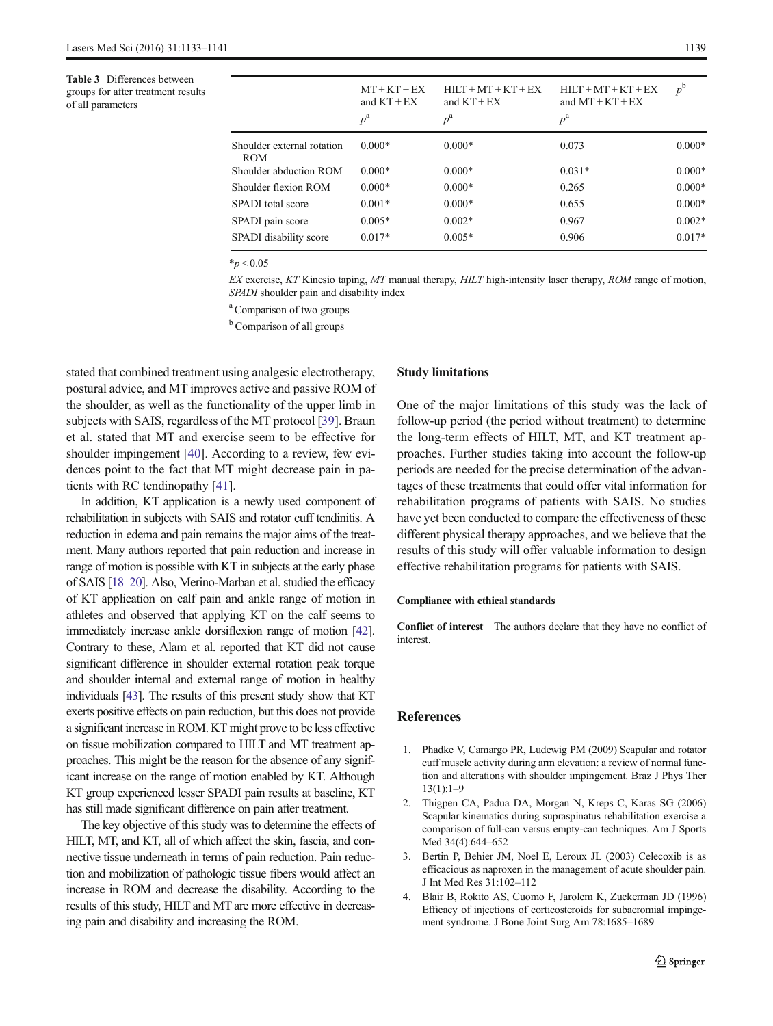<span id="page-6-0"></span>Table 3 Differences between groups for after treatment results of all parameters

|                                          | $MT+KT+EX$<br>and $KT + EX$<br>$p^{\rm a}$ | $HILT + MT + KT + EX$<br>and $KT + EX$<br>$p^{\rm a}$ | $HILT + MT + KT + EX$<br>and $MT + KT + EX$<br>$p^{\rm a}$ | $p^{\rm b}$ |
|------------------------------------------|--------------------------------------------|-------------------------------------------------------|------------------------------------------------------------|-------------|
| Shoulder external rotation<br><b>ROM</b> | $0.000*$                                   | $0.000*$                                              | 0.073                                                      | $0.000*$    |
| Shoulder abduction ROM                   | $0.000*$                                   | $0.000*$                                              | $0.031*$                                                   | $0.000*$    |
| Shoulder flexion ROM                     | $0.000*$                                   | $0.000*$                                              | 0.265                                                      | $0.000*$    |
| SPADI total score                        | $0.001*$                                   | $0.000*$                                              | 0.655                                                      | $0.000*$    |
| SPADI pain score                         | $0.005*$                                   | $0.002*$                                              | 0.967                                                      | $0.002*$    |
| SPADI disability score                   | $0.017*$                                   | $0.005*$                                              | 0.906                                                      | $0.017*$    |

 $*_{p}$  < 0.05

EX exercise, KT Kinesio taping, MT manual therapy, HILT high-intensity laser therapy, ROM range of motion, SPADI shoulder pain and disability index

<sup>a</sup> Comparison of two groups

<sup>b</sup> Comparison of all groups

stated that combined treatment using analgesic electrotherapy, postural advice, and MT improves active and passive ROM of the shoulder, as well as the functionality of the upper limb in subjects with SAIS, regardless of the MT protocol [\[39\]](#page-7-0). Braun et al. stated that MT and exercise seem to be effective for shoulder impingement [[40\]](#page-7-0). According to a review, few evidences point to the fact that MT might decrease pain in patients with RC tendinopathy [[41](#page-7-0)].

In addition, KT application is a newly used component of rehabilitation in subjects with SAIS and rotator cuff tendinitis. A reduction in edema and pain remains the major aims of the treatment. Many authors reported that pain reduction and increase in range of motion is possible with KT in subjects at the early phase of SAIS [\[18](#page-7-0)–[20](#page-7-0)]. Also, Merino-Marban et al. studied the efficacy of KT application on calf pain and ankle range of motion in athletes and observed that applying KT on the calf seems to immediately increase ankle dorsiflexion range of motion [\[42\]](#page-8-0). Contrary to these, Alam et al. reported that KT did not cause significant difference in shoulder external rotation peak torque and shoulder internal and external range of motion in healthy individuals [\[43](#page-8-0)]. The results of this present study show that KT exerts positive effects on pain reduction, but this does not provide a significant increase in ROM. KT might prove to be less effective on tissue mobilization compared to HILT and MT treatment approaches. This might be the reason for the absence of any significant increase on the range of motion enabled by KT. Although KT group experienced lesser SPADI pain results at baseline, KT has still made significant difference on pain after treatment.

The key objective of this study was to determine the effects of HILT, MT, and KT, all of which affect the skin, fascia, and connective tissue underneath in terms of pain reduction. Pain reduction and mobilization of pathologic tissue fibers would affect an increase in ROM and decrease the disability. According to the results of this study, HILT and MT are more effective in decreasing pain and disability and increasing the ROM.

#### Study limitations

One of the major limitations of this study was the lack of follow-up period (the period without treatment) to determine the long-term effects of HILT, MT, and KT treatment approaches. Further studies taking into account the follow-up periods are needed for the precise determination of the advantages of these treatments that could offer vital information for rehabilitation programs of patients with SAIS. No studies have yet been conducted to compare the effectiveness of these different physical therapy approaches, and we believe that the results of this study will offer valuable information to design effective rehabilitation programs for patients with SAIS.

#### Compliance with ethical standards

Conflict of interest The authors declare that they have no conflict of **interest** 

### References

- 1. Phadke V, Camargo PR, Ludewig PM (2009) Scapular and rotator cuff muscle activity during arm elevation: a review of normal function and alterations with shoulder impingement. Braz J Phys Ther 13(1):1–9
- 2. Thigpen CA, Padua DA, Morgan N, Kreps C, Karas SG (2006) Scapular kinematics during supraspinatus rehabilitation exercise a comparison of full-can versus empty-can techniques. Am J Sports Med 34(4):644–652
- 3. Bertin P, Behier JM, Noel E, Leroux JL (2003) Celecoxib is as efficacious as naproxen in the management of acute shoulder pain. J Int Med Res 31:102–112
- 4. Blair B, Rokito AS, Cuomo F, Jarolem K, Zuckerman JD (1996) Efficacy of injections of corticosteroids for subacromial impingement syndrome. J Bone Joint Surg Am 78:1685–1689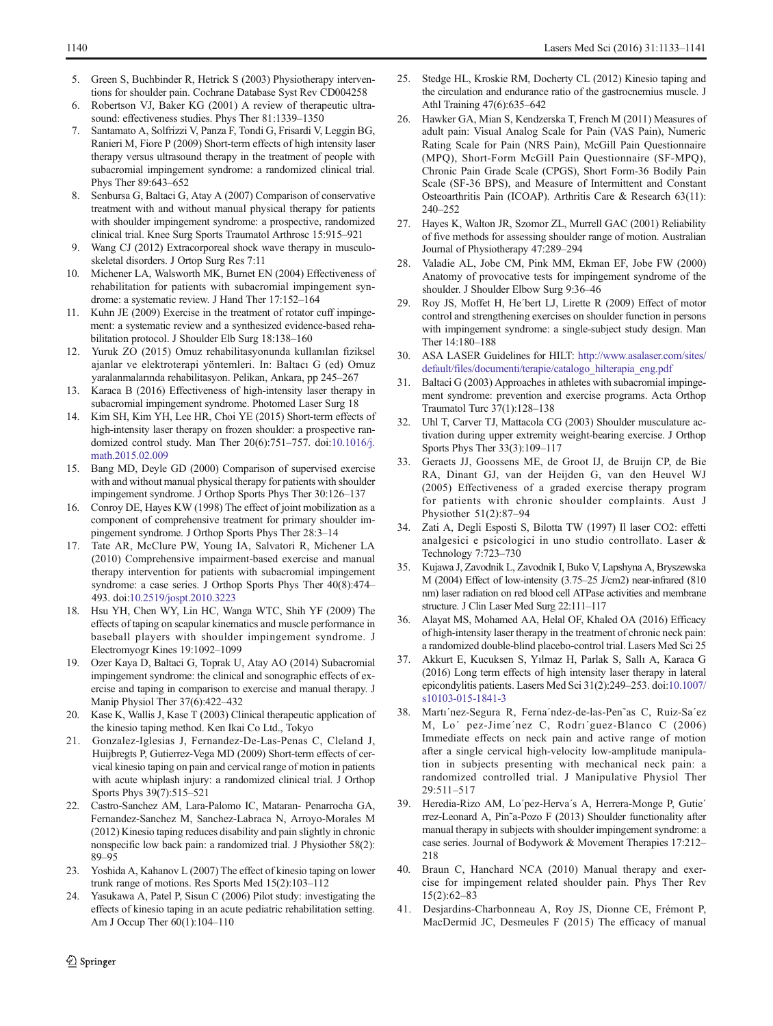- <span id="page-7-0"></span>5. Green S, Buchbinder R, Hetrick S (2003) Physiotherapy interventions for shoulder pain. Cochrane Database Syst Rev CD004258
- Robertson VJ, Baker KG (2001) A review of therapeutic ultrasound: effectiveness studies. Phys Ther 81:1339–1350
- 7. Santamato A, Solfrizzi V, Panza F, Tondi G, Frisardi V, Leggin BG, Ranieri M, Fiore P (2009) Short-term effects of high intensity laser therapy versus ultrasound therapy in the treatment of people with subacromial impingement syndrome: a randomized clinical trial. Phys Ther 89:643–652
- 8. Senbursa G, Baltaci G, Atay A (2007) Comparison of conservative treatment with and without manual physical therapy for patients with shoulder impingement syndrome: a prospective, randomized clinical trial. Knee Surg Sports Traumatol Arthrosc 15:915–921
- 9. Wang CJ (2012) Extracorporeal shock wave therapy in musculoskeletal disorders. J Ortop Surg Res 7:11
- 10. Michener LA, Walsworth MK, Burnet EN (2004) Effectiveness of rehabilitation for patients with subacromial impingement syndrome: a systematic review. J Hand Ther 17:152–164
- 11. Kuhn JE (2009) Exercise in the treatment of rotator cuff impingement: a systematic review and a synthesized evidence-based rehabilitation protocol. J Shoulder Elb Surg 18:138–160
- 12. Yuruk ZO (2015) Omuz rehabilitasyonunda kullanılan fiziksel ajanlar ve elektroterapi yöntemleri. In: Baltacı G (ed) Omuz yaralanmalarında rehabilitasyon. Pelikan, Ankara, pp 245–267
- 13. Karaca B (2016) Effectiveness of high-intensity laser therapy in subacromial impingement syndrome. Photomed Laser Surg 18
- Kim SH, Kim YH, Lee HR, Choi YE (2015) Short-term effects of high-intensity laser therapy on frozen shoulder: a prospective randomized control study. Man Ther 20(6):751–757. doi[:10.1016/j.](http://dx.doi.org/10.1016/j.math.2015.02.009) [math.2015.02.009](http://dx.doi.org/10.1016/j.math.2015.02.009)
- 15. Bang MD, Deyle GD (2000) Comparison of supervised exercise with and without manual physical therapy for patients with shoulder impingement syndrome. J Orthop Sports Phys Ther 30:126–137
- 16. Conroy DE, Hayes KW (1998) The effect of joint mobilization as a component of comprehensive treatment for primary shoulder impingement syndrome. J Orthop Sports Phys Ther 28:3–14
- 17. Tate AR, McClure PW, Young IA, Salvatori R, Michener LA (2010) Comprehensive impairment-based exercise and manual therapy intervention for patients with subacromial impingement syndrome: a case series. J Orthop Sports Phys Ther 40(8):474– 493. doi[:10.2519/jospt.2010.3223](http://dx.doi.org/10.2519/jospt.2010.3223)
- 18. Hsu YH, Chen WY, Lin HC, Wanga WTC, Shih YF (2009) The effects of taping on scapular kinematics and muscle performance in baseball players with shoulder impingement syndrome. J Electromyogr Kines 19:1092–1099
- 19. Ozer Kaya D, Baltaci G, Toprak U, Atay AO (2014) Subacromial impingement syndrome: the clinical and sonographic effects of exercise and taping in comparison to exercise and manual therapy. J Manip Physiol Ther 37(6):422–432
- 20. Kase K, Wallis J, Kase T (2003) Clinical therapeutic application of the kinesio taping method. Ken Ikai Co Ltd., Tokyo
- 21. Gonzalez-Iglesias J, Fernandez-De-Las-Penas C, Cleland J, Huijbregts P, Gutierrez-Vega MD (2009) Short-term effects of cervical kinesio taping on pain and cervical range of motion in patients with acute whiplash injury: a randomized clinical trial. J Orthop Sports Phys 39(7):515–521
- 22. Castro-Sanchez AM, Lara-Palomo IC, Mataran- Penarrocha GA, Fernandez-Sanchez M, Sanchez-Labraca N, Arroyo-Morales M (2012) Kinesio taping reduces disability and pain slightly in chronic nonspecific low back pain: a randomized trial. J Physiother 58(2): 89–95
- 23. Yoshida A, Kahanov L (2007) The effect of kinesio taping on lower trunk range of motions. Res Sports Med 15(2):103–112
- 24. Yasukawa A, Patel P, Sisun C (2006) Pilot study: investigating the effects of kinesio taping in an acute pediatric rehabilitation setting. Am J Occup Ther 60(1):104–110
- 25. Stedge HL, Kroskie RM, Docherty CL (2012) Kinesio taping and the circulation and endurance ratio of the gastrocnemius muscle. J Athl Training 47(6):635–642
- 26. Hawker GA, Mian S, Kendzerska T, French M (2011) Measures of adult pain: Visual Analog Scale for Pain (VAS Pain), Numeric Rating Scale for Pain (NRS Pain), McGill Pain Questionnaire (MPQ), Short-Form McGill Pain Questionnaire (SF-MPQ), Chronic Pain Grade Scale (CPGS), Short Form-36 Bodily Pain Scale (SF-36 BPS), and Measure of Intermittent and Constant Osteoarthritis Pain (ICOAP). Arthritis Care & Research 63(11): 240–252
- 27. Hayes K, Walton JR, Szomor ZL, Murrell GAC (2001) Reliability of five methods for assessing shoulder range of motion. Australian Journal of Physiotherapy 47:289–294
- Valadie AL, Jobe CM, Pink MM, Ekman EF, Jobe FW (2000) Anatomy of provocative tests for impingement syndrome of the shoulder. J Shoulder Elbow Surg 9:36–46
- 29. Roy JS, Moffet H, He´bert LJ, Lirette R (2009) Effect of motor control and strengthening exercises on shoulder function in persons with impingement syndrome: a single-subject study design. Man Ther 14:180–188
- 30. ASA LASER Guidelines for HILT: [http://www.asalaser.com/sites/](http://www.asalaser.com/sites/default/files/documenti/terapie/catalogo_hilterapia_eng.pdf) [default/files/documenti/terapie/catalogo\\_hilterapia\\_eng.pdf](http://www.asalaser.com/sites/default/files/documenti/terapie/catalogo_hilterapia_eng.pdf)
- 31. Baltaci G (2003) Approaches in athletes with subacromial impingement syndrome: prevention and exercise programs. Acta Orthop Traumatol Turc 37(1):128–138
- 32. Uhl T, Carver TJ, Mattacola CG (2003) Shoulder musculature activation during upper extremity weight-bearing exercise. J Orthop Sports Phys Ther 33(3):109–117
- 33. Geraets JJ, Goossens ME, de Groot IJ, de Bruijn CP, de Bie RA, Dinant GJ, van der Heijden G, van den Heuvel WJ (2005) Effectiveness of a graded exercise therapy program for patients with chronic shoulder complaints. Aust J Physiother 51(2):87–94
- 34. Zati A, Degli Esposti S, Bilotta TW (1997) Il laser CO2: effetti analgesici e psicologici in uno studio controllato. Laser & Technology 7:723–730
- 35. Kujawa J, Zavodnik L, Zavodnik I, Buko V, Lapshyna A, Bryszewska M (2004) Effect of low-intensity (3.75–25 J/cm2) near-infrared (810 nm) laser radiation on red blood cell ATPase activities and membrane structure. J Clin Laser Med Surg 22:111–117
- 36. Alayat MS, Mohamed AA, Helal OF, Khaled OA (2016) Efficacy of high-intensity laser therapy in the treatment of chronic neck pain: a randomized double-blind placebo-control trial. Lasers Med Sci 25
- 37. Akkurt E, Kucuksen S, Yılmaz H, Parlak S, Sallı A, Karaca G (2016) Long term effects of high intensity laser therapy in lateral epicondylitis patients. Lasers Med Sci 31(2):249–253. doi[:10.1007/](http://dx.doi.org/10.1007/s10103-015-1841-3) [s10103-015-1841-3](http://dx.doi.org/10.1007/s10103-015-1841-3)
- 38. Martı´nez-Segura R, Ferna´ndez-de-las-Pen˜as C, Ruiz-Sa´ez M, Lo´ pez-Jime´nez C, Rodrı´guez-Blanco C (2006) Immediate effects on neck pain and active range of motion after a single cervical high-velocity low-amplitude manipulation in subjects presenting with mechanical neck pain: a randomized controlled trial. J Manipulative Physiol Ther 29:511–517
- 39. Heredia-Rizo AM, Lo´pez-Herva´s A, Herrera-Monge P, Gutie´ rrez-Leonard A, Pin˜a-Pozo F (2013) Shoulder functionality after manual therapy in subjects with shoulder impingement syndrome: a case series. Journal of Bodywork & Movement Therapies 17:212– 218
- 40. Braun C, Hanchard NCA (2010) Manual therapy and exercise for impingement related shoulder pain. Phys Ther Rev 15(2):62–83
- 41. Desjardins-Charbonneau A, Roy JS, Dionne CE, Frémont P, MacDermid JC, Desmeules F (2015) The efficacy of manual